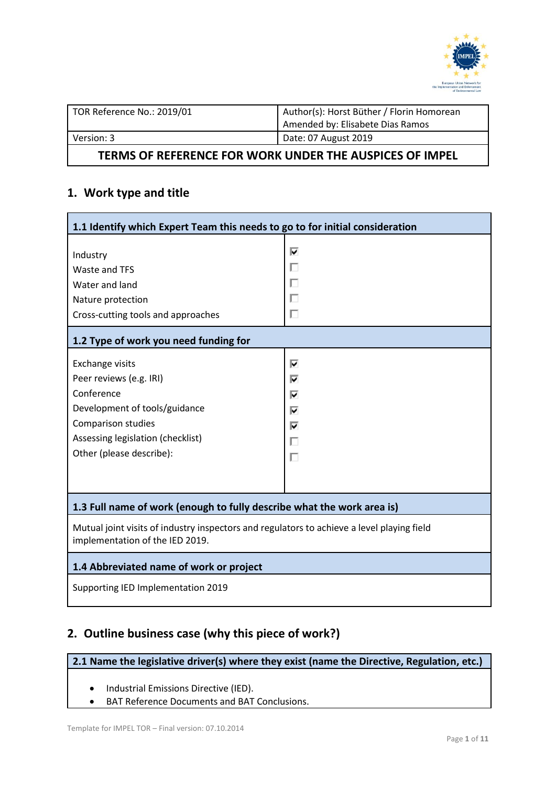

| TOR Reference No.: 2019/01 | Author(s): Horst Büther / Florin Homorean |  |
|----------------------------|-------------------------------------------|--|
|                            | Amended by: Elisabete Dias Ramos          |  |
| Version: 3                 | Date: 07 August 2019                      |  |
|                            |                                           |  |

#### **TERMS OF REFERENCE FOR WORK UNDER THE AUSPICES OF IMPEL**

# **1. Work type and title**

| 1.1 Identify which Expert Team this needs to go to for initial consideration                                                  |                       |  |  |  |
|-------------------------------------------------------------------------------------------------------------------------------|-----------------------|--|--|--|
| Industry<br>Waste and TFS<br>Water and land<br>Nature protection<br>Cross-cutting tools and approaches                        | ⊽<br>п<br>Г<br>П<br>г |  |  |  |
| 1.2 Type of work you need funding for                                                                                         |                       |  |  |  |
| <b>Exchange visits</b>                                                                                                        | ⊽                     |  |  |  |
| Peer reviews (e.g. IRI)                                                                                                       | ⊽                     |  |  |  |
| Conference                                                                                                                    | ⊽                     |  |  |  |
| Development of tools/guidance                                                                                                 | ⊽                     |  |  |  |
| Comparison studies                                                                                                            | ⊽                     |  |  |  |
| Assessing legislation (checklist)                                                                                             | г                     |  |  |  |
| Other (please describe):                                                                                                      | г                     |  |  |  |
|                                                                                                                               |                       |  |  |  |
| 1.3 Full name of work (enough to fully describe what the work area is)                                                        |                       |  |  |  |
| Mutual joint visits of industry inspectors and regulators to achieve a level playing field<br>implementation of the IED 2019. |                       |  |  |  |
| 1.4 Abbreviated name of work or project                                                                                       |                       |  |  |  |
| Supporting IED Implementation 2019                                                                                            |                       |  |  |  |

# **2. Outline business case (why this piece of work?)**

**2.1 Name the legislative driver(s) where they exist (name the Directive, Regulation, etc.)**

- Industrial Emissions Directive (IED).
- BAT Reference Documents and BAT Conclusions.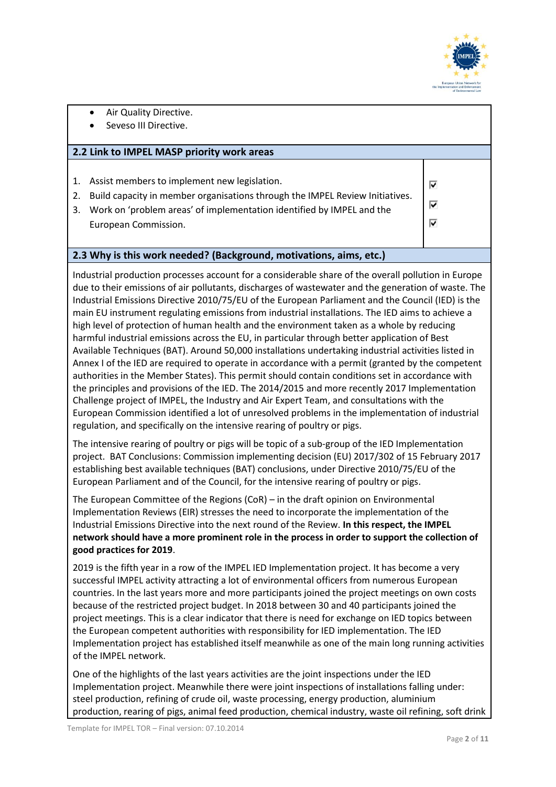

- Air Quality Directive.
- Seveso III Directive.

#### **2.2 Link to IMPEL MASP priority work areas**

- 1. Assist members to implement new legislation.
- 2. Build capacity in member organisations through the IMPEL Review Initiatives.
- 3. Work on 'problem areas' of implementation identified by IMPEL and the European Commission.

 $\overline{\mathbf{v}}$ 

#### **2.3 Why is this work needed? (Background, motivations, aims, etc.)**

Industrial production processes account for a considerable share of the overall pollution in Europe due to their emissions of air pollutants, discharges of wastewater and the generation of waste. The Industrial Emissions Directive 2010/75/EU of the European Parliament and the Council (IED) is the main EU instrument regulating emissions from industrial installations. The IED aims to achieve a high level of protection of human health and the environment taken as a whole by reducing harmful industrial emissions across the EU, in particular through better application of Best Available Techniques (BAT). Around 50,000 installations undertaking industrial activities listed in Annex I of the IED are required to operate in accordance with a permit (granted by the competent authorities in the Member States). This permit should contain conditions set in accordance with the principles and provisions of the IED. The 2014/2015 and more recently 2017 Implementation Challenge project of IMPEL, the Industry and Air Expert Team, and consultations with the European Commission identified a lot of unresolved problems in the implementation of industrial regulation, and specifically on the intensive rearing of poultry or pigs.

The intensive rearing of poultry or pigs will be topic of a sub-group of the IED Implementation project. BAT Conclusions: Commission implementing decision (EU) 2017/302 of 15 February 2017 establishing best available techniques (BAT) conclusions, under Directive 2010/75/EU of the European Parliament and of the Council, for the intensive rearing of poultry or pigs.

The European Committee of the Regions (CoR) – in the draft opinion on Environmental Implementation Reviews (EIR) stresses the need to incorporate the implementation of the Industrial Emissions Directive into the next round of the Review. **In this respect, the IMPEL network should have a more prominent role in the process in order to support the collection of good practices for 2019**.

2019 is the fifth year in a row of the IMPEL IED Implementation project. It has become a very successful IMPEL activity attracting a lot of environmental officers from numerous European countries. In the last years more and more participants joined the project meetings on own costs because of the restricted project budget. In 2018 between 30 and 40 participants joined the project meetings. This is a clear indicator that there is need for exchange on IED topics between the European competent authorities with responsibility for IED implementation. The IED Implementation project has established itself meanwhile as one of the main long running activities of the IMPEL network.

One of the highlights of the last years activities are the joint inspections under the IED Implementation project. Meanwhile there were joint inspections of installations falling under: steel production, refining of crude oil, waste processing, energy production, aluminium production, rearing of pigs, animal feed production, chemical industry, waste oil refining, soft drink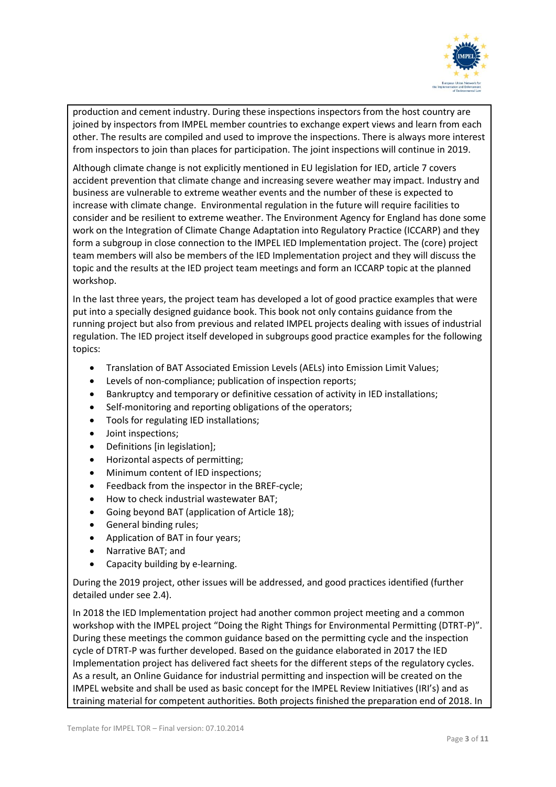

production and cement industry. During these inspections inspectors from the host country are joined by inspectors from IMPEL member countries to exchange expert views and learn from each other. The results are compiled and used to improve the inspections. There is always more interest from inspectors to join than places for participation. The joint inspections will continue in 2019.

Although climate change is not explicitly mentioned in EU legislation for IED, article 7 covers accident prevention that climate change and increasing severe weather may impact. Industry and business are vulnerable to extreme weather events and the number of these is expected to increase with climate change. Environmental regulation in the future will require facilities to consider and be resilient to extreme weather. The Environment Agency for England has done some work on the Integration of Climate Change Adaptation into Regulatory Practice (ICCARP) and they form a subgroup in close connection to the IMPEL IED Implementation project. The (core) project team members will also be members of the IED Implementation project and they will discuss the topic and the results at the IED project team meetings and form an ICCARP topic at the planned workshop.

In the last three years, the project team has developed a lot of good practice examples that were put into a specially designed guidance book. This book not only contains guidance from the running project but also from previous and related IMPEL projects dealing with issues of industrial regulation. The IED project itself developed in subgroups good practice examples for the following topics:

- Translation of BAT Associated Emission Levels (AELs) into Emission Limit Values;
- Levels of non-compliance; publication of inspection reports;
- Bankruptcy and temporary or definitive cessation of activity in IED installations;
- Self-monitoring and reporting obligations of the operators;
- Tools for regulating IED installations;
- Joint inspections;
- Definitions [in legislation];
- Horizontal aspects of permitting;
- Minimum content of IED inspections;
- Feedback from the inspector in the BREF-cycle;
- How to check industrial wastewater BAT;
- Going beyond BAT (application of Article 18);
- General binding rules;
- Application of BAT in four years;
- Narrative BAT; and
- Capacity building by e-learning.

During the 2019 project, other issues will be addressed, and good practices identified (further detailed under see 2.4).

In 2018 the IED Implementation project had another common project meeting and a common workshop with the IMPEL project "Doing the Right Things for Environmental Permitting (DTRT-P)". During these meetings the common guidance based on the permitting cycle and the inspection cycle of DTRT-P was further developed. Based on the guidance elaborated in 2017 the IED Implementation project has delivered fact sheets for the different steps of the regulatory cycles. As a result, an Online Guidance for industrial permitting and inspection will be created on the IMPEL website and shall be used as basic concept for the IMPEL Review Initiatives (IRI's) and as training material for competent authorities. Both projects finished the preparation end of 2018. In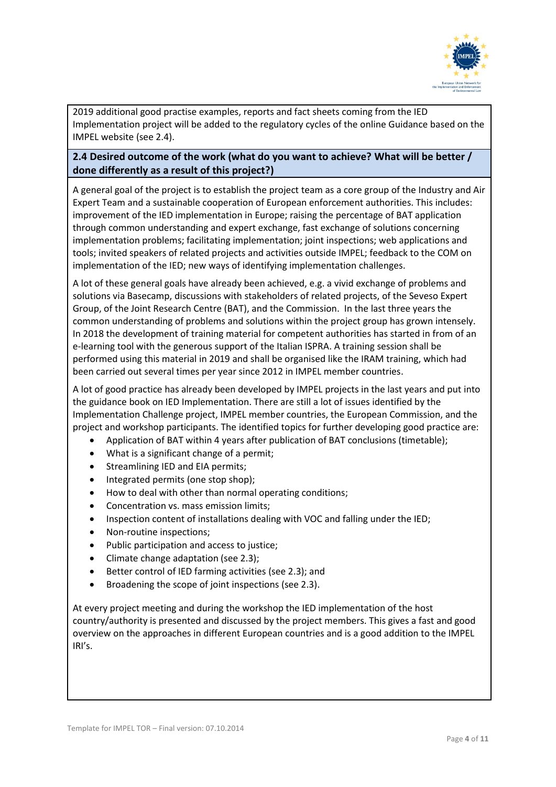

2019 additional good practise examples, reports and fact sheets coming from the IED Implementation project will be added to the regulatory cycles of the online Guidance based on the IMPEL website (see 2.4).

## **2.4 Desired outcome of the work (what do you want to achieve? What will be better / done differently as a result of this project?)**

A general goal of the project is to establish the project team as a core group of the Industry and Air Expert Team and a sustainable cooperation of European enforcement authorities. This includes: improvement of the IED implementation in Europe; raising the percentage of BAT application through common understanding and expert exchange, fast exchange of solutions concerning implementation problems; facilitating implementation; joint inspections; web applications and tools; invited speakers of related projects and activities outside IMPEL; feedback to the COM on implementation of the IED; new ways of identifying implementation challenges.

A lot of these general goals have already been achieved, e.g. a vivid exchange of problems and solutions via Basecamp, discussions with stakeholders of related projects, of the Seveso Expert Group, of the Joint Research Centre (BAT), and the Commission. In the last three years the common understanding of problems and solutions within the project group has grown intensely. In 2018 the development of training material for competent authorities has started in from of an e-learning tool with the generous support of the Italian ISPRA. A training session shall be performed using this material in 2019 and shall be organised like the IRAM training, which had been carried out several times per year since 2012 in IMPEL member countries.

A lot of good practice has already been developed by IMPEL projects in the last years and put into the guidance book on IED Implementation. There are still a lot of issues identified by the Implementation Challenge project, IMPEL member countries, the European Commission, and the project and workshop participants. The identified topics for further developing good practice are:

- Application of BAT within 4 years after publication of BAT conclusions (timetable);
- What is a significant change of a permit;
- Streamlining IED and EIA permits:
- Integrated permits (one stop shop);
- How to deal with other than normal operating conditions;
- Concentration vs. mass emission limits;
- Inspection content of installations dealing with VOC and falling under the IED;
- Non-routine inspections;
- Public participation and access to justice;
- Climate change adaptation (see 2.3);
- Better control of IED farming activities (see 2.3); and
- Broadening the scope of joint inspections (see 2.3).

At every project meeting and during the workshop the IED implementation of the host country/authority is presented and discussed by the project members. This gives a fast and good overview on the approaches in different European countries and is a good addition to the IMPEL IRI's.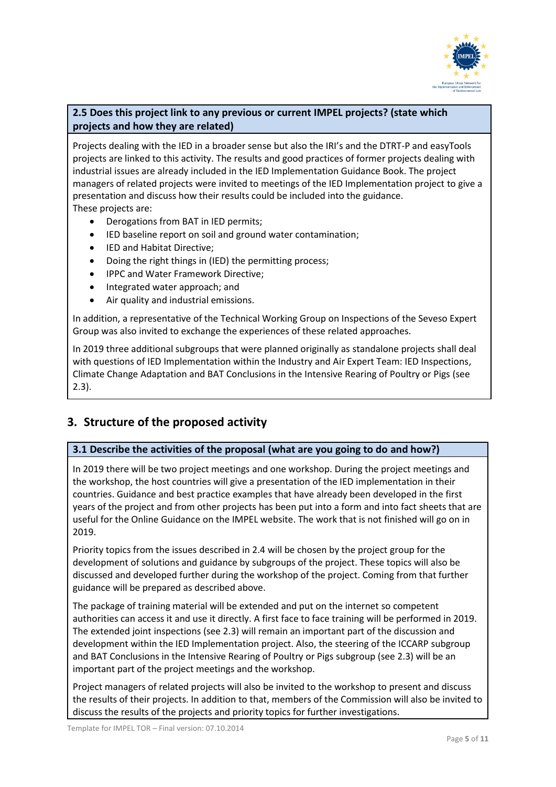

## **2.5 Does this project link to any previous or current IMPEL projects? (state which projects and how they are related)**

Projects dealing with the IED in a broader sense but also the IRI's and the DTRT-P and easyTools projects are linked to this activity. The results and good practices of former projects dealing with industrial issues are already included in the IED Implementation Guidance Book. The project managers of related projects were invited to meetings of the IED Implementation project to give a presentation and discuss how their results could be included into the guidance. These projects are:

- Derogations from BAT in IED permits;
- IED baseline report on soil and ground water contamination;
- IED and Habitat Directive;
- Doing the right things in (IED) the permitting process;
- IPPC and Water Framework Directive;
- Integrated water approach; and
- Air quality and industrial emissions.

In addition, a representative of the Technical Working Group on Inspections of the Seveso Expert Group was also invited to exchange the experiences of these related approaches.

In 2019 three additional subgroups that were planned originally as standalone projects shall deal with questions of IED Implementation within the Industry and Air Expert Team: IED Inspections, Climate Change Adaptation and BAT Conclusions in the Intensive Rearing of Poultry or Pigs (see 2.3).

## **3. Structure of the proposed activity**

#### **3.1 Describe the activities of the proposal (what are you going to do and how?)**

In 2019 there will be two project meetings and one workshop. During the project meetings and the workshop, the host countries will give a presentation of the IED implementation in their countries. Guidance and best practice examples that have already been developed in the first years of the project and from other projects has been put into a form and into fact sheets that are useful for the Online Guidance on the IMPEL website. The work that is not finished will go on in 2019.

Priority topics from the issues described in 2.4 will be chosen by the project group for the development of solutions and guidance by subgroups of the project. These topics will also be discussed and developed further during the workshop of the project. Coming from that further guidance will be prepared as described above.

The package of training material will be extended and put on the internet so competent authorities can access it and use it directly. A first face to face training will be performed in 2019. The extended joint inspections (see 2.3) will remain an important part of the discussion and development within the IED Implementation project. Also, the steering of the ICCARP subgroup and BAT Conclusions in the Intensive Rearing of Poultry or Pigs subgroup (see 2.3) will be an important part of the project meetings and the workshop.

Project managers of related projects will also be invited to the workshop to present and discuss the results of their projects. In addition to that, members of the Commission will also be invited to discuss the results of the projects and priority topics for further investigations.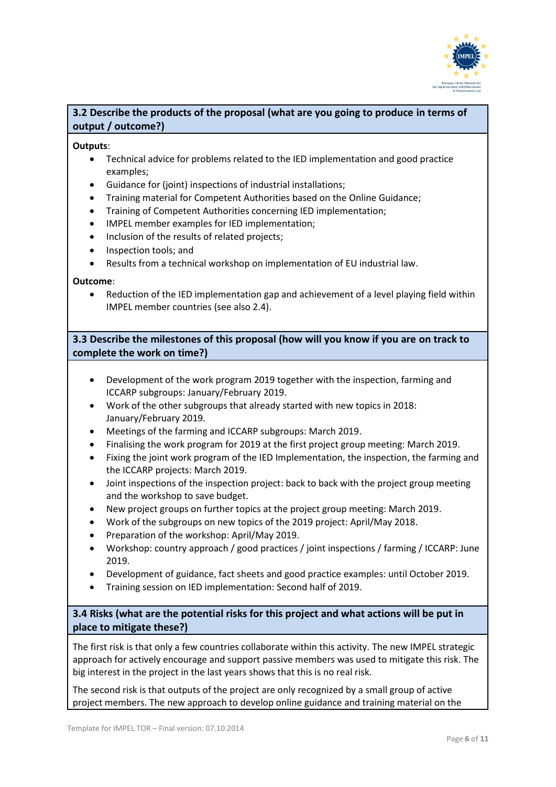

## **3.2 Describe the products of the proposal (what are you going to produce in terms of output / outcome?)**

#### **Outputs**:

- Technical advice for problems related to the IED implementation and good practice examples;
- Guidance for (joint) inspections of industrial installations;
- Training material for Competent Authorities based on the Online Guidance;
- Training of Competent Authorities concerning IED implementation;
- IMPEL member examples for IED implementation;
- Inclusion of the results of related projects;
- Inspection tools; and
- Results from a technical workshop on implementation of EU industrial law.

#### **Outcome**:

• Reduction of the IED implementation gap and achievement of a level playing field within IMPEL member countries (see also 2.4).

**3.3 Describe the milestones of this proposal (how will you know if you are on track to complete the work on time?)**

- Development of the work program 2019 together with the inspection, farming and ICCARP subgroups: January/February 2019.
- Work of the other subgroups that already started with new topics in 2018: January/February 2019.
- Meetings of the farming and ICCARP subgroups: March 2019.
- Finalising the work program for 2019 at the first project group meeting: March 2019.
- Fixing the joint work program of the IED Implementation, the inspection, the farming and the ICCARP projects: March 2019.
- Joint inspections of the inspection project: back to back with the project group meeting and the workshop to save budget.
- New project groups on further topics at the project group meeting: March 2019.
- Work of the subgroups on new topics of the 2019 project: April/May 2018.
- Preparation of the workshop: April/May 2019.
- Workshop: country approach / good practices / joint inspections / farming / ICCARP: June 2019.
- Development of guidance, fact sheets and good practice examples: until October 2019.
- Training session on IED implementation: Second half of 2019.

**3.4 Risks (what are the potential risks for this project and what actions will be put in place to mitigate these?)**

The first risk is that only a few countries collaborate within this activity. The new IMPEL strategic approach for actively encourage and support passive members was used to mitigate this risk. The big interest in the project in the last years shows that this is no real risk.

The second risk is that outputs of the project are only recognized by a small group of active project members. The new approach to develop online guidance and training material on the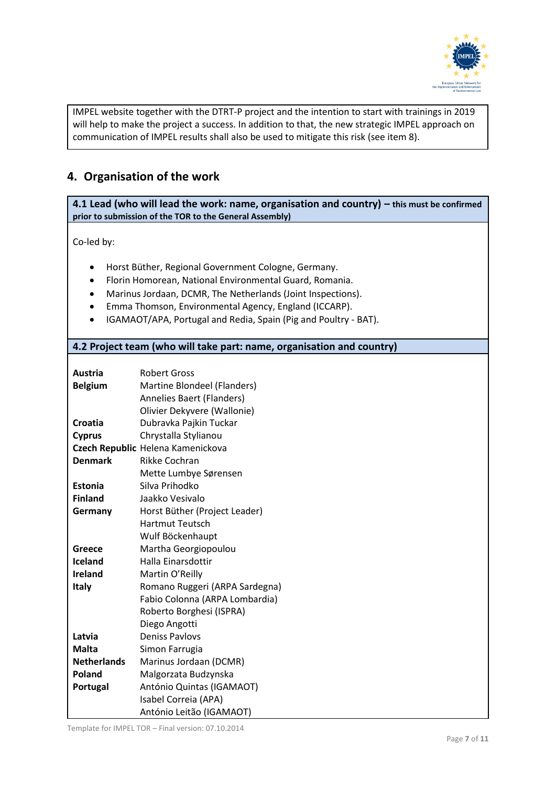

IMPEL website together with the DTRT-P project and the intention to start with trainings in 2019 will help to make the project a success. In addition to that, the new strategic IMPEL approach on communication of IMPEL results shall also be used to mitigate this risk (see item 8).

## **4. Organisation of the work**

**4.1 Lead (who will lead the work: name, organisation and country) – this must be confirmed prior to submission of the TOR to the General Assembly)**

Co-led by:

- Horst Büther, Regional Government Cologne, Germany.
- Florin Homorean, National Environmental Guard, Romania.
- Marinus Jordaan, DCMR, The Netherlands (Joint Inspections).
- Emma Thomson, Environmental Agency, England (ICCARP).
- IGAMAOT/APA, Portugal and Redia, Spain (Pig and Poultry BAT).

#### **4.2 Project team (who will take part: name, organisation and country)**

| Austria            | <b>Robert Gross</b>               |
|--------------------|-----------------------------------|
| <b>Belgium</b>     | Martine Blondeel (Flanders)       |
|                    | Annelies Baert (Flanders)         |
|                    | Olivier Dekyvere (Wallonie)       |
| Croatia            | Dubravka Pajkin Tuckar            |
| <b>Cyprus</b>      | Chrystalla Stylianou              |
|                    | Czech Republic Helena Kamenickova |
| <b>Denmark</b>     | <b>Rikke Cochran</b>              |
|                    | Mette Lumbye Sørensen             |
| Estonia            | Silva Prihodko                    |
| <b>Finland</b>     | Jaakko Vesivalo                   |
| Germany            | Horst Büther (Project Leader)     |
|                    | <b>Hartmut Teutsch</b>            |
|                    | Wulf Böckenhaupt                  |
| Greece             | Martha Georgiopoulou              |
| Iceland            | Halla Einarsdottir                |
| <b>Ireland</b>     | Martin O'Reilly                   |
| <b>Italy</b>       | Romano Ruggeri (ARPA Sardegna)    |
|                    | Fabio Colonna (ARPA Lombardia)    |
|                    | Roberto Borghesi (ISPRA)          |
|                    | Diego Angotti                     |
| Latvia             | <b>Deniss Paylovs</b>             |
| <b>Malta</b>       | Simon Farrugia                    |
| <b>Netherlands</b> | Marinus Jordaan (DCMR)            |
| Poland             | Malgorzata Budzynska              |
| Portugal           | António Quintas (IGAMAOT)         |
|                    | Isabel Correia (APA)              |
|                    | António Leitão (IGAMAOT)          |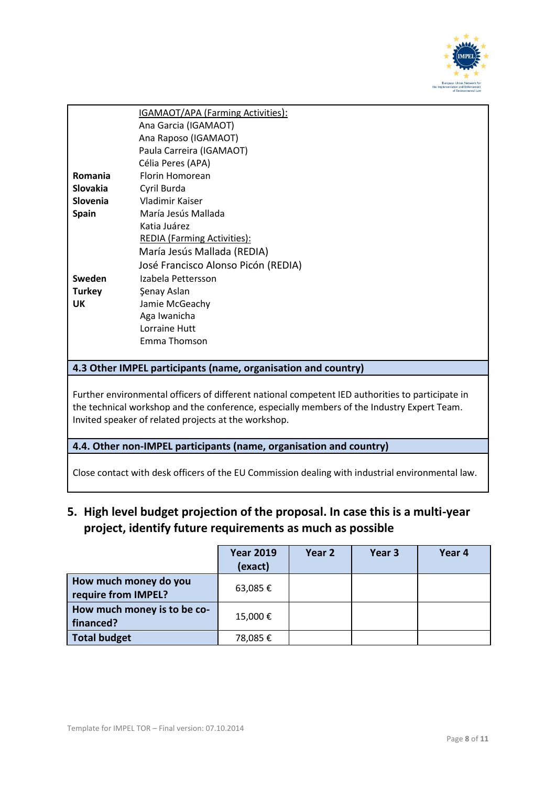

|                                                                                            | IGAMAOT/APA (Farming Activities):                                                                |  |  |  |
|--------------------------------------------------------------------------------------------|--------------------------------------------------------------------------------------------------|--|--|--|
|                                                                                            | Ana Garcia (IGAMAOT)                                                                             |  |  |  |
|                                                                                            | Ana Raposo (IGAMAOT)                                                                             |  |  |  |
|                                                                                            | Paula Carreira (IGAMAOT)                                                                         |  |  |  |
|                                                                                            | Célia Peres (APA)                                                                                |  |  |  |
| Romania                                                                                    | <b>Florin Homorean</b>                                                                           |  |  |  |
| <b>Slovakia</b>                                                                            | Cyril Burda                                                                                      |  |  |  |
| Slovenia                                                                                   | Vladimir Kaiser                                                                                  |  |  |  |
| <b>Spain</b>                                                                               | María Jesús Mallada                                                                              |  |  |  |
|                                                                                            | Katia Juárez                                                                                     |  |  |  |
|                                                                                            | REDIA (Farming Activities):                                                                      |  |  |  |
|                                                                                            | María Jesús Mallada (REDIA)                                                                      |  |  |  |
|                                                                                            | José Francisco Alonso Picón (REDIA)                                                              |  |  |  |
| Sweden                                                                                     | Izabela Pettersson                                                                               |  |  |  |
| <b>Turkey</b>                                                                              | Şenay Aslan                                                                                      |  |  |  |
| UK                                                                                         | Jamie McGeachy                                                                                   |  |  |  |
|                                                                                            | Aga Iwanicha                                                                                     |  |  |  |
|                                                                                            | Lorraine Hutt                                                                                    |  |  |  |
|                                                                                            | Emma Thomson                                                                                     |  |  |  |
|                                                                                            |                                                                                                  |  |  |  |
|                                                                                            | 4.3 Other IMPEL participants (name, organisation and country)                                    |  |  |  |
|                                                                                            |                                                                                                  |  |  |  |
|                                                                                            | Further environmental officers of different national competent IED authorities to participate in |  |  |  |
| the technical workshop and the conference, especially members of the Industry Expert Team. |                                                                                                  |  |  |  |
| Invited speaker of related projects at the workshop.                                       |                                                                                                  |  |  |  |
|                                                                                            |                                                                                                  |  |  |  |
| 4.4. Other non-IMPEL participants (name, organisation and country)                         |                                                                                                  |  |  |  |
|                                                                                            |                                                                                                  |  |  |  |
|                                                                                            | Close contact with desk officers of the EU Commission dealing with industrial environmental law. |  |  |  |

**5. High level budget projection of the proposal. In case this is a multi-year project, identify future requirements as much as possible**

|                                              | <b>Year 2019</b><br>(exact) | Year <sub>2</sub> | Year 3 | Year 4 |
|----------------------------------------------|-----------------------------|-------------------|--------|--------|
| How much money do you<br>require from IMPEL? | 63,085€                     |                   |        |        |
| How much money is to be co-<br>financed?     | 15,000€                     |                   |        |        |
| <b>Total budget</b>                          | 78,085€                     |                   |        |        |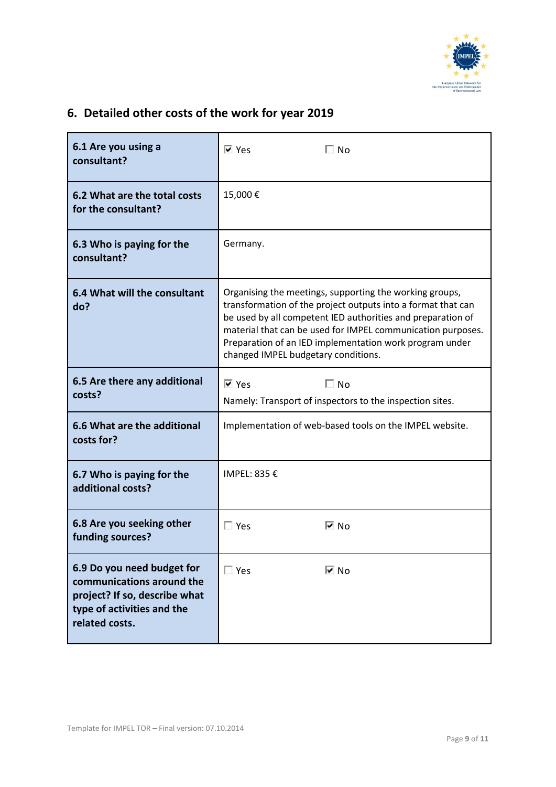

# **6. Detailed other costs of the work for year 2019**

| 6.1 Are you using a<br>consultant?                                                                                                       | $\overline{\triangledown}$ Yes<br>$\Box$ No                                                                                                                                                                                                                                                                                                             |  |  |
|------------------------------------------------------------------------------------------------------------------------------------------|---------------------------------------------------------------------------------------------------------------------------------------------------------------------------------------------------------------------------------------------------------------------------------------------------------------------------------------------------------|--|--|
| 6.2 What are the total costs<br>for the consultant?                                                                                      | 15,000€                                                                                                                                                                                                                                                                                                                                                 |  |  |
| 6.3 Who is paying for the<br>consultant?                                                                                                 | Germany.                                                                                                                                                                                                                                                                                                                                                |  |  |
| 6.4 What will the consultant<br>do?                                                                                                      | Organising the meetings, supporting the working groups,<br>transformation of the project outputs into a format that can<br>be used by all competent IED authorities and preparation of<br>material that can be used for IMPEL communication purposes.<br>Preparation of an IED implementation work program under<br>changed IMPEL budgetary conditions. |  |  |
| 6.5 Are there any additional<br>costs?                                                                                                   | $\Box$ No<br>Iज्य Yes<br>Namely: Transport of inspectors to the inspection sites.                                                                                                                                                                                                                                                                       |  |  |
| 6.6 What are the additional<br>costs for?                                                                                                | Implementation of web-based tools on the IMPEL website.                                                                                                                                                                                                                                                                                                 |  |  |
| 6.7 Who is paying for the<br>additional costs?                                                                                           | IMPEL: 835 €                                                                                                                                                                                                                                                                                                                                            |  |  |
| 6.8 Are you seeking other<br>funding sources?                                                                                            | $\Box$ Yes<br>l⊽ No                                                                                                                                                                                                                                                                                                                                     |  |  |
| 6.9 Do you need budget for<br>communications around the<br>project? If so, describe what<br>type of activities and the<br>related costs. | $\Box$ Yes<br>l⊽ No                                                                                                                                                                                                                                                                                                                                     |  |  |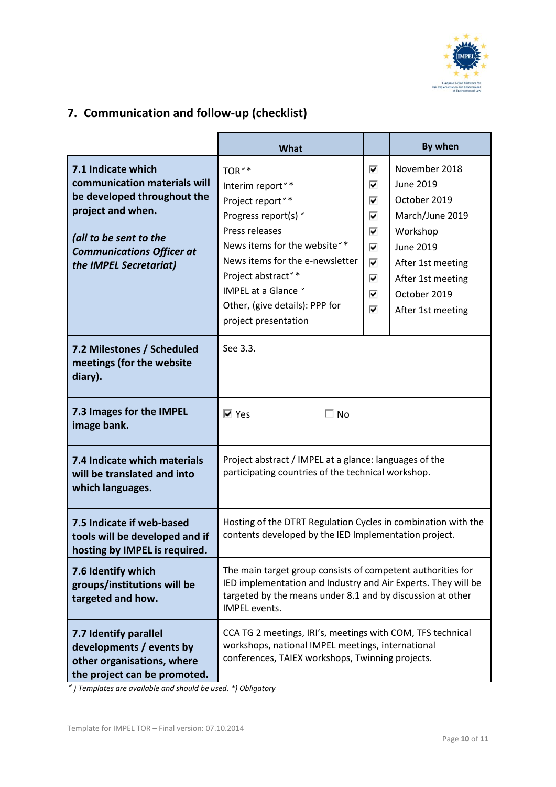

# **7. Communication and follow-up (checklist)**

|                                                                                                                                                                                                | What                                                                                                                                                                                                                                                                                                                             |                                                | By when                                                                                                                                                                      |  |  |
|------------------------------------------------------------------------------------------------------------------------------------------------------------------------------------------------|----------------------------------------------------------------------------------------------------------------------------------------------------------------------------------------------------------------------------------------------------------------------------------------------------------------------------------|------------------------------------------------|------------------------------------------------------------------------------------------------------------------------------------------------------------------------------|--|--|
| 7.1 Indicate which<br>communication materials will<br>be developed throughout the<br>project and when.<br>(all to be sent to the<br><b>Communications Officer at</b><br>the IMPEL Secretariat) | TOR <sup>**</sup><br>Interim report <sup>*</sup> *<br>Project report <sup>*</sup> *<br>Progress report(s) v<br>Press releases<br>News items for the website <sup>*</sup> *<br>News items for the e-newsletter<br>Project abstract <sup>**</sup><br>IMPEL at a Glance Y<br>Other, (give details): PPP for<br>project presentation | ⊽<br>⊽<br>⊽<br>⊽<br>⊽<br>⊽<br>⊽<br>⊽<br>⊽<br>⊽ | November 2018<br>June 2019<br>October 2019<br>March/June 2019<br>Workshop<br><b>June 2019</b><br>After 1st meeting<br>After 1st meeting<br>October 2019<br>After 1st meeting |  |  |
| 7.2 Milestones / Scheduled<br>meetings (for the website<br>diary).                                                                                                                             | See 3.3.                                                                                                                                                                                                                                                                                                                         |                                                |                                                                                                                                                                              |  |  |
| 7.3 Images for the IMPEL<br>image bank.                                                                                                                                                        | $\Box$ No<br>I⊽ Yes                                                                                                                                                                                                                                                                                                              |                                                |                                                                                                                                                                              |  |  |
| 7.4 Indicate which materials<br>will be translated and into<br>which languages.                                                                                                                | Project abstract / IMPEL at a glance: languages of the<br>participating countries of the technical workshop.                                                                                                                                                                                                                     |                                                |                                                                                                                                                                              |  |  |
| 7.5 Indicate if web-based<br>tools will be developed and if<br>hosting by IMPEL is required.                                                                                                   | Hosting of the DTRT Regulation Cycles in combination with the<br>contents developed by the IED Implementation project.                                                                                                                                                                                                           |                                                |                                                                                                                                                                              |  |  |
| 7.6 Identify which<br>groups/institutions will be<br>targeted and how.                                                                                                                         | The main target group consists of competent authorities for<br>IED implementation and Industry and Air Experts. They will be<br>targeted by the means under 8.1 and by discussion at other<br>IMPEL events.                                                                                                                      |                                                |                                                                                                                                                                              |  |  |
| 7.7 Identify parallel<br>developments / events by<br>other organisations, where<br>the project can be promoted.                                                                                | CCA TG 2 meetings, IRI's, meetings with COM, TFS technical<br>workshops, national IMPEL meetings, international<br>conferences, TAIEX workshops, Twinning projects.                                                                                                                                                              |                                                |                                                                                                                                                                              |  |  |

*) Templates are available and should be used. \*) Obligatory*